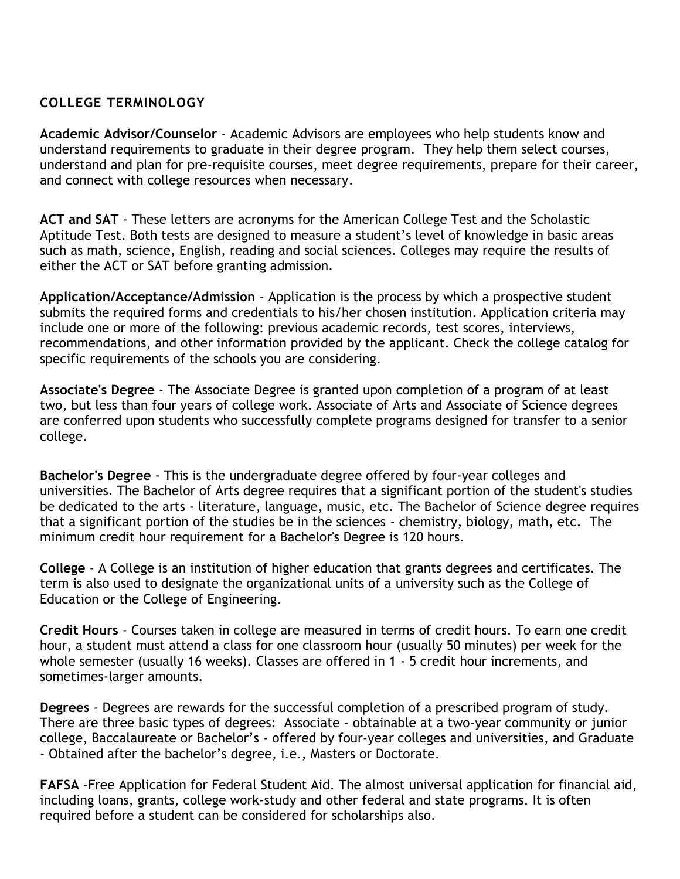## **COLLEGE TERMINOLOGY**

**Academic Advisor/Counselor** - Academic Advisors are employees who help students know and understand requirements to graduate in their degree program. They help them select courses, understand and plan for pre-requisite courses, meet degree requirements, prepare for their career, and connect with college resources when necessary.

**ACT and SAT** - These letters are acronyms for the American College Test and the Scholastic Aptitude Test. Both tests are designed to measure a student's level of knowledge in basic areas such as math, science, English, reading and social sciences. Colleges may require the results of either the ACT or SAT before granting admission.

**Application/Acceptance/Admission** - Application is the process by which a prospective student submits the required forms and credentials to his/her chosen institution. Application criteria may include one or more of the following: previous academic records, test scores, interviews, recommendations, and other information provided by the applicant. Check the college catalog for specific requirements of the schools you are considering.

**Associate's Degree** - The Associate Degree is granted upon completion of a program of at least two, but less than four years of college work. Associate of Arts and Associate of Science degrees are conferred upon students who successfully complete programs designed for transfer to a senior college.

**Bachelor's Degree** - This is the undergraduate degree offered by four-year colleges and universities. The Bachelor of Arts degree requires that a significant portion of the student's studies be dedicated to the arts - literature, language, music, etc. The Bachelor of Science degree requires that a significant portion of the studies be in the sciences - chemistry, biology, math, etc. The minimum credit hour requirement for a Bachelor's Degree is 120 hours.

**College** - A College is an institution of higher education that grants degrees and certificates. The term is also used to designate the organizational units of a university such as the College of Education or the College of Engineering.

**Credit Hours** - Courses taken in college are measured in terms of credit hours. To earn one credit hour, a student must attend a class for one classroom hour (usually 50 minutes) per week for the whole semester (usually 16 weeks). Classes are offered in 1 - 5 credit hour increments, and sometimes-larger amounts.

**Degrees** - Degrees are rewards for the successful completion of a prescribed program of study. There are three basic types of degrees: Associate - obtainable at a two-year community or junior college, Baccalaureate or Bachelor's - offered by four-year colleges and universities, and Graduate - Obtained after the bachelor's degree, i.e., Masters or Doctorate.

**FAFSA** -Free Application for Federal Student Aid. The almost universal application for financial aid, including loans, grants, college work-study and other federal and state programs. It is often required before a student can be considered for scholarships also.